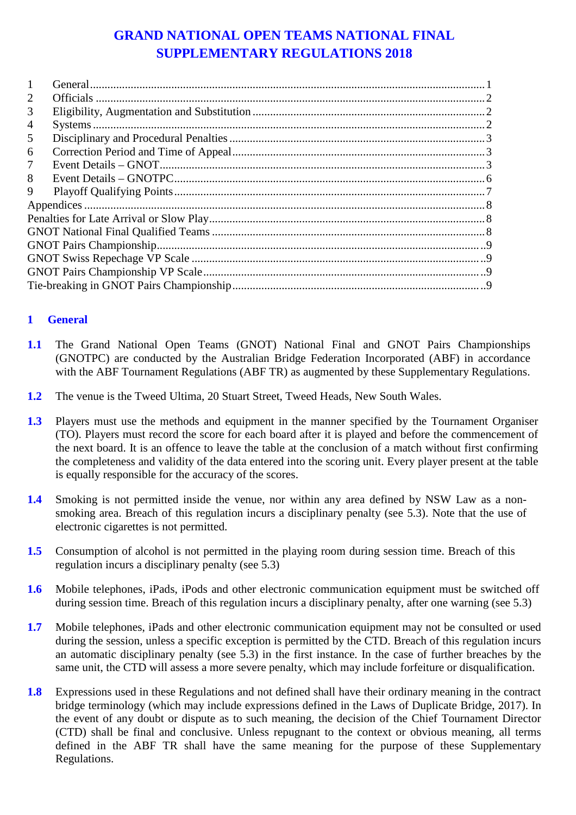# **GRAND NATIONAL OPEN TEAMS NATIONAL FINAL SUPPLEMENTARY REGULATIONS 2018**

| 2 |  |  |  |  |  |
|---|--|--|--|--|--|
| 3 |  |  |  |  |  |
| 4 |  |  |  |  |  |
| 5 |  |  |  |  |  |
| 6 |  |  |  |  |  |
| 7 |  |  |  |  |  |
| 8 |  |  |  |  |  |
| 9 |  |  |  |  |  |
|   |  |  |  |  |  |
|   |  |  |  |  |  |
|   |  |  |  |  |  |
|   |  |  |  |  |  |
|   |  |  |  |  |  |
|   |  |  |  |  |  |
|   |  |  |  |  |  |
|   |  |  |  |  |  |

### **1 General**

- **1.1** The Grand National Open Teams (GNOT) National Final and GNOT Pairs Championships (GNOTPC) are conducted by the Australian Bridge Federation Incorporated (ABF) in accordance with the ABF Tournament Regulations (ABF TR) as augmented by these Supplementary Regulations.
- **1.2** The venue is the Tweed Ultima, 20 Stuart Street, Tweed Heads, New South Wales.
- **1.3** Players must use the methods and equipment in the manner specified by the Tournament Organiser (TO). Players must record the score for each board after it is played and before the commencement of the next board. It is an offence to leave the table at the conclusion of a match without first confirming the completeness and validity of the data entered into the scoring unit. Every player present at the table is equally responsible for the accuracy of the scores.
- **1.4** Smoking is not permitted inside the venue, nor within any area defined by NSW Law as a nonsmoking area. Breach of this regulation incurs a disciplinary penalty (see 5.3). Note that the use of electronic cigarettes is not permitted.
- **1.5** Consumption of alcohol is not permitted in the playing room during session time. Breach of this regulation incurs a disciplinary penalty (see 5.3)
- **1.6** Mobile telephones, iPads, iPods and other electronic communication equipment must be switched off during session time. Breach of this regulation incurs a disciplinary penalty, after one warning (see 5.3)
- **1.7** Mobile telephones, iPads and other electronic communication equipment may not be consulted or used during the session, unless a specific exception is permitted by the CTD. Breach of this regulation incurs an automatic disciplinary penalty (see 5.3) in the first instance. In the case of further breaches by the same unit, the CTD will assess a more severe penalty, which may include forfeiture or disqualification.
- <span id="page-0-0"></span>**1.8** Expressions used in these Regulations and not defined shall have their ordinary meaning in the contract bridge terminology (which may include expressions defined in the Laws of Duplicate Bridge, 2017). In the event of any doubt or dispute as to such meaning, the decision of the Chief Tournament Director (CTD) shall be final and conclusive. Unless repugnant to the context or obvious meaning, all terms defined in the ABF TR shall have the same meaning for the purpose of these Supplementary Regulations.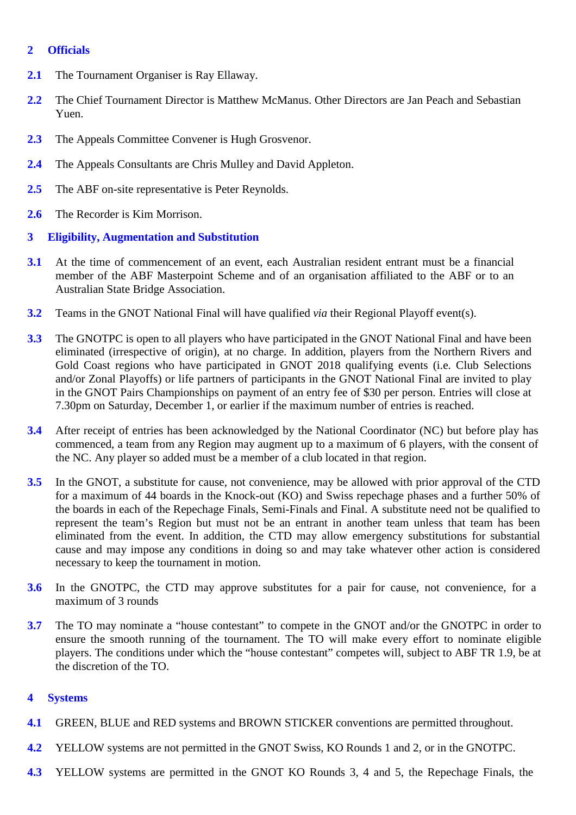### **2 Officials**

- **2.1** The Tournament Organiser is Ray Ellaway.
- **2.2** The Chief Tournament Director is Matthew McManus. Other Directors are Jan Peach and Sebastian Yuen.
- **2.3** The Appeals Committee Convener is Hugh Grosvenor.
- **2.4** The Appeals Consultants are Chris Mulley and David Appleton.
- **2.5** The ABF on-site representative is Peter Reynolds.
- **2.6** The Recorder is Kim Morrison.
- **3 Eligibility, Augmentation and Substitution**
- **3.1** At the time of commencement of an event, each Australian resident entrant must be a financial member of the ABF Masterpoint Scheme and of an organisation affiliated to the ABF or to an Australian State Bridge Association.
- **3.2** Teams in the GNOT National Final will have qualified *via* their Regional Playoff event(s).
- **3.3** The GNOTPC is open to all players who have participated in the GNOT National Final and have been eliminated (irrespective of origin), at no charge. In addition, players from the Northern Rivers and Gold Coast regions who have participated in GNOT 2018 qualifying events (i.e. Club Selections and/or Zonal Playoffs) or life partners of participants in the GNOT National Final are invited to play in the GNOT Pairs Championships on payment of an entry fee of \$30 per person. Entries will close at 7.30pm on Saturday, December 1, or earlier if the maximum number of entries is reached.
- **3.4** After receipt of entries has been acknowledged by the National Coordinator (NC) but before play has commenced, a team from any Region may augment up to a maximum of 6 players, with the consent of the NC. Any player so added must be a member of a club located in that region.
- <span id="page-1-0"></span>**3.5** In the GNOT, a substitute for cause, not convenience, may be allowed with prior approval of the CTD for a maximum of 44 boards in the Knock-out (KO) and Swiss repechage phases and a further 50% of the boards in each of the Repechage Finals, Semi-Finals and Final. A substitute need not be qualified to represent the team's Region but must not be an entrant in another team unless that team has been eliminated from the event. In addition, the CTD may allow emergency substitutions for substantial cause and may impose any conditions in doing so and may take whatever other action is considered necessary to keep the tournament in motion.
- **3.6** In the GNOTPC, the CTD may approve substitutes for a pair for cause, not convenience, for a maximum of 3 rounds
- **3.7** The TO may nominate a "house contestant" to compete in the GNOT and/or the GNOTPC in order to ensure the smooth running of the tournament. The TO will make every effort to nominate eligible players. The conditions under which the "house contestant" competes will, subject to ABF TR 1.9, be at the discretion of the TO.

#### **4 Systems**

- **4.1** GREEN, BLUE and RED systems and BROWN STICKER conventions are permitted throughout.
- **4.2** YELLOW systems are not permitted in the GNOT Swiss, KO Rounds 1 and 2, or in the GNOTPC.
- **4.3** YELLOW systems are permitted in the GNOT KO Rounds 3, 4 and 5, the Repechage Finals, the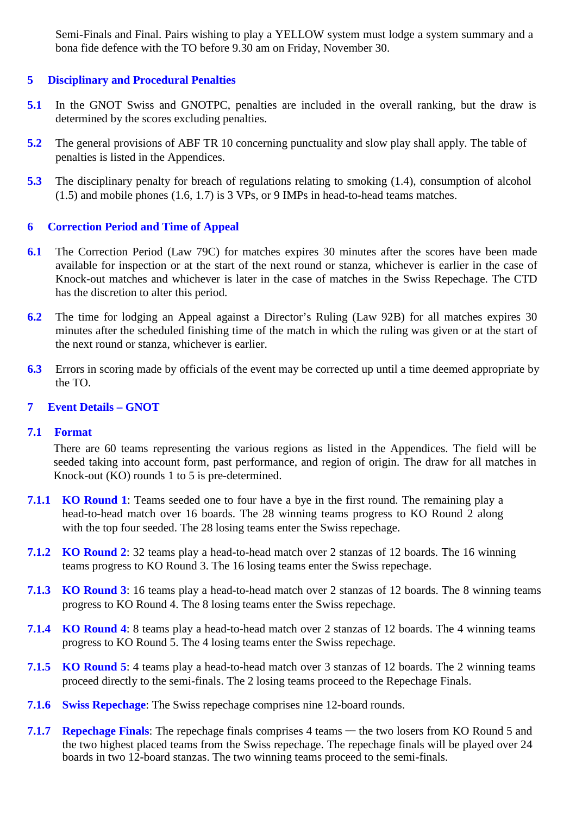Semi-Finals and Final. Pairs wishing to play a YELLOW system must lodge a system summary and a bona fide defence with the TO before 9.30 am on Friday, November 30.

#### **5 Disciplinary and Procedural Penalties**

- **5.1** In the GNOT Swiss and GNOTPC, penalties are included in the overall ranking, but the draw is determined by the scores excluding penalties.
- **5.2** The general provisions of ABF TR 10 concerning punctuality and slow play shall apply. The table of penalties is listed in the Appendices.
- **5.3** The disciplinary penalty for breach of regulations relating to smoking (1.4), consumption of alcohol (1.5) and mobile phones (1.6, 1.7) is 3 VPs, or 9 IMPs in head-to-head teams matches.

#### **6 Correction Period and Time of Appeal**

- **6.1** The Correction Period (Law 79C) for matches expires 30 minutes after the scores have been made available for inspection or at the start of the next round or stanza, whichever is earlier in the case of Knock-out matches and whichever is later in the case of matches in the Swiss Repechage. The CTD has the discretion to alter this period.
- **6.2** The time for lodging an Appeal against a Director's Ruling (Law 92B) for all matches expires 30 minutes after the scheduled finishing time of the match in which the ruling was given or at the start of the next round or stanza, whichever is earlier.
- <span id="page-2-0"></span>**6.3** Errors in scoring made by officials of the event may be corrected up until a time deemed appropriate by the TO.
- **7 Event Details – GNOT**

#### **7.1 Format**

There are 60 teams representing the various regions as listed in the Appendices. The field will be seeded taking into account form, past performance, and region of origin. The draw for all matches in Knock-out (KO) rounds 1 to 5 is pre-determined.

- **7.1.1 KO Round 1**: Teams seeded one to four have a bye in the first round. The remaining play a head-to-head match over 16 boards. The 28 winning teams progress to KO Round 2 along with the top four seeded. The 28 losing teams enter the Swiss repechage.
- **7.1.2 KO Round 2**: 32 teams play a head-to-head match over 2 stanzas of 12 boards. The 16 winning teams progress to KO Round 3. The 16 losing teams enter the Swiss repechage.
- **7.1.3 KO Round 3**: 16 teams play a head-to-head match over 2 stanzas of 12 boards. The 8 winning teams progress to KO Round 4. The 8 losing teams enter the Swiss repechage.
- **7.1.4 KO Round 4**: 8 teams play a head-to-head match over 2 stanzas of 12 boards. The 4 winning teams progress to KO Round 5. The 4 losing teams enter the Swiss repechage.
- **7.1.5 KO Round 5**: 4 teams play a head-to-head match over 3 stanzas of 12 boards. The 2 winning teams proceed directly to the semi-finals. The 2 losing teams proceed to the Repechage Finals.
- **7.1.6 Swiss Repechage**: The Swiss repechage comprises nine 12-board rounds.
- **7.1.7 Repechage Finals**: The repechage finals comprises 4 teams the two losers from KO Round 5 and the two highest placed teams from the Swiss repechage. The repechage finals will be played over 24 boards in two 12-board stanzas. The two winning teams proceed to the semi-finals.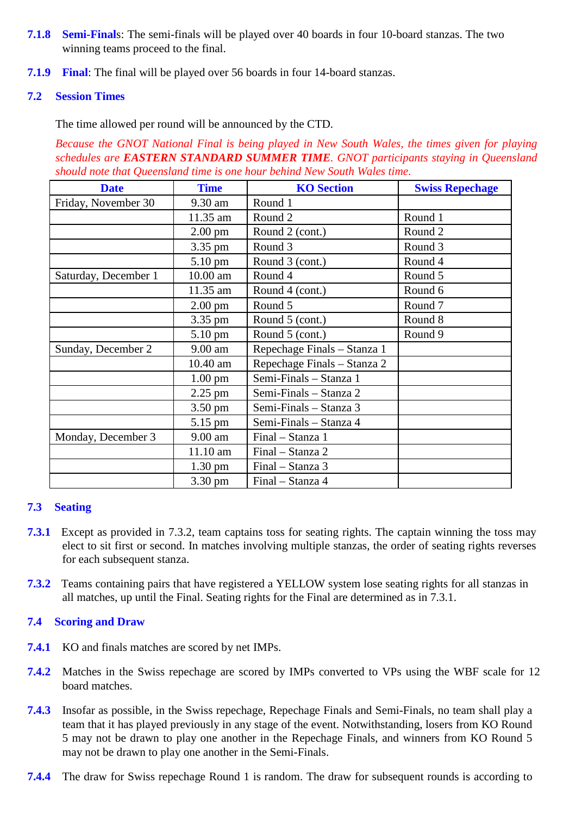- **7.1.8 Semi-Final**s: The semi-finals will be played over 40 boards in four 10-board stanzas. The two winning teams proceed to the final.
- **7.1.9 Final**: The final will be played over 56 boards in four 14-board stanzas.

### **7.2 Session Times**

The time allowed per round will be announced by the CTD.

*Because the GNOT National Final is being played in New South Wales, the times given for playing schedules are EASTERN STANDARD SUMMER TIME. GNOT participants staying in Queensland should note that Queensland time is one hour behind New South Wales time.* 

| <b>Date</b>          | <b>Time</b>       | <b>KO</b> Section           | <b>Swiss Repechage</b> |
|----------------------|-------------------|-----------------------------|------------------------|
| Friday, November 30  | 9.30 am           | Round 1                     |                        |
|                      | 11.35 am          | Round 2                     | Round 1                |
|                      | $2.00 \text{ pm}$ | Round 2 (cont.)             | Round 2                |
|                      | 3.35 pm           | Round 3                     | Round 3                |
|                      | 5.10 pm           | Round 3 (cont.)             | Round 4                |
| Saturday, December 1 | 10.00 am          | Round 4                     | Round 5                |
|                      | 11.35 am          | Round 4 (cont.)             | Round 6                |
|                      | $2.00 \text{ pm}$ | Round 5                     | Round <sub>7</sub>     |
|                      | 3.35 pm           | Round 5 (cont.)             | Round 8                |
|                      | 5.10 pm           | Round 5 (cont.)             | Round 9                |
| Sunday, December 2   | $9.00$ am         | Repechage Finals - Stanza 1 |                        |
|                      | 10.40 am          | Repechage Finals - Stanza 2 |                        |
|                      | $1.00$ pm         | Semi-Finals - Stanza 1      |                        |
|                      | $2.25$ pm         | Semi-Finals - Stanza 2      |                        |
|                      | $3.50 \text{ pm}$ | Semi-Finals - Stanza 3      |                        |
|                      | 5.15 pm           | Semi-Finals - Stanza 4      |                        |
| Monday, December 3   | $9.00$ am         | Final - Stanza 1            |                        |
|                      | 11.10 am          | Final - Stanza 2            |                        |
|                      | $1.30 \text{ pm}$ | Final - Stanza 3            |                        |
|                      | 3.30 pm           | Final - Stanza 4            |                        |

#### **7.3 Seating**

- **7.3.1** Except as provided in 7.3.2, team captains toss for seating rights. The captain winning the toss may elect to sit first or second. In matches involving multiple stanzas, the order of seating rights reverses for each subsequent stanza.
- **7.3.2** Teams containing pairs that have registered a YELLOW system lose seating rights for all stanzas in all matches, up until the Final. Seating rights for the Final are determined as in 7.3.1.

#### **7.4 Scoring and Draw**

- **7.4.1** KO and finals matches are scored by net IMPs.
- **7.4.2** Matches in the Swiss repechage are scored by IMPs converted to VPs using the WBF scale for 12 board matches.
- **7.4.3** Insofar as possible, in the Swiss repechage, Repechage Finals and Semi-Finals, no team shall play a team that it has played previously in any stage of the event. Notwithstanding, losers from KO Round 5 may not be drawn to play one another in the Repechage Finals, and winners from KO Round 5 may not be drawn to play one another in the Semi-Finals.
- **7.4.4** The draw for Swiss repechage Round 1 is random. The draw for subsequent rounds is according to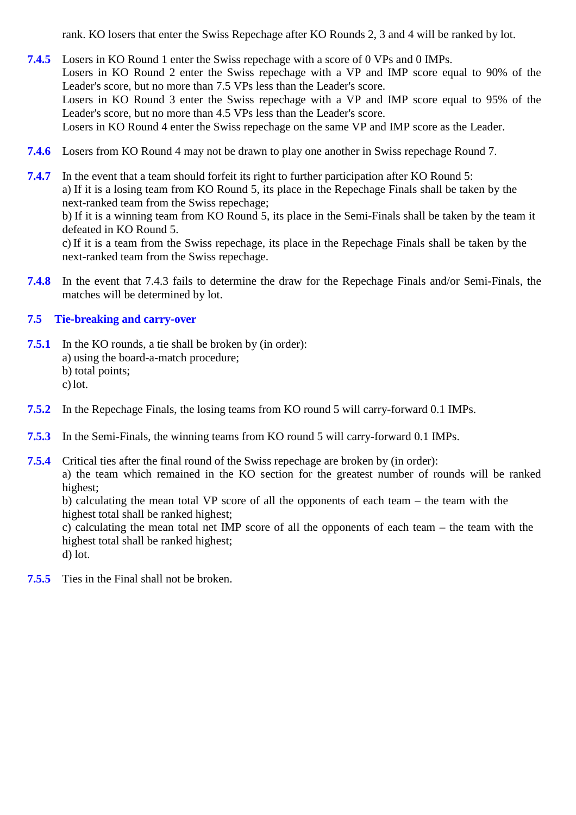rank. KO losers that enter the Swiss Repechage after KO Rounds 2, 3 and 4 will be ranked by lot.

- **7.4.5** Losers in KO Round 1 enter the Swiss repechage with a score of 0 VPs and 0 IMPs. Losers in KO Round 2 enter the Swiss repechage with a VP and IMP score equal to 90% of the Leader's score, but no more than 7.5 VPs less than the Leader's score. Losers in KO Round 3 enter the Swiss repechage with a VP and IMP score equal to 95% of the Leader's score, but no more than 4.5 VPs less than the Leader's score. Losers in KO Round 4 enter the Swiss repechage on the same VP and IMP score as the Leader.
- **7.4.6** Losers from KO Round 4 may not be drawn to play one another in Swiss repechage Round 7.
- **7.4.7** In the event that a team should forfeit its right to further participation after KO Round 5: a) If it is a losing team from KO Round 5, its place in the Repechage Finals shall be taken by the next-ranked team from the Swiss repechage; b) If it is a winning team from KO Round 5, its place in the Semi-Finals shall be taken by the team it defeated in KO Round 5. c) If it is a team from the Swiss repechage, its place in the Repechage Finals shall be taken by the next-ranked team from the Swiss repechage.
- **7.4.8** In the event that 7.4.3 fails to determine the draw for the Repechage Finals and/or Semi-Finals, the matches will be determined by lot.

#### **7.5 Tie-breaking and carry-over**

- **7.5.1** In the KO rounds, a tie shall be broken by (in order): a) using the board-a-match procedure; b) total points; c)lot.
- **7.5.2** In the Repechage Finals, the losing teams from KO round 5 will carry-forward 0.1 IMPs.
- **7.5.3** In the Semi-Finals, the winning teams from KO round 5 will carry-forward 0.1 IMPs.

**7.5.4** Critical ties after the final round of the Swiss repechage are broken by (in order): a) the team which remained in the KO section for the greatest number of rounds will be ranked highest;

b) calculating the mean total VP score of all the opponents of each team – the team with the highest total shall be ranked highest;

c) calculating the mean total net IMP score of all the opponents of each team – the team with the highest total shall be ranked highest;

d) lot.

<span id="page-4-0"></span>**7.5.5** Ties in the Final shall not be broken.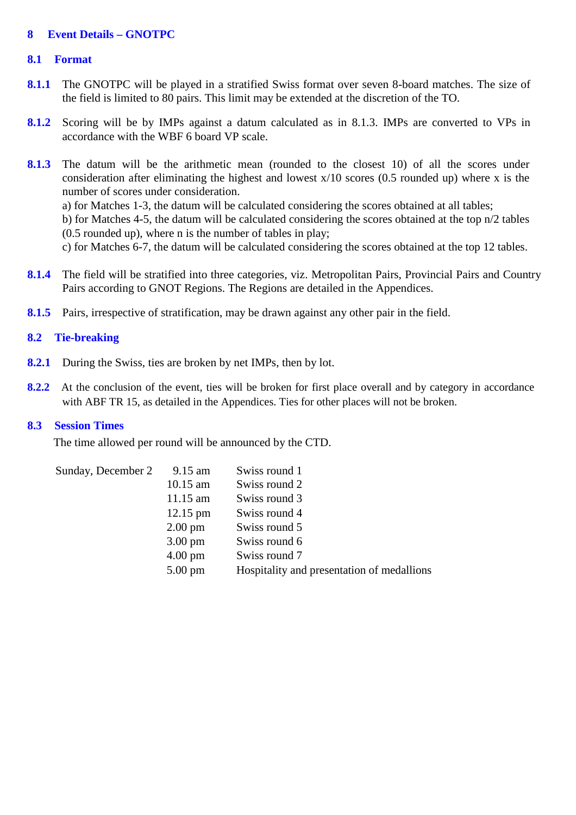#### **8 Event Details – GNOTPC**

#### **8.1 Format**

- **8.1.1** The GNOTPC will be played in a stratified Swiss format over seven 8-board matches. The size of the field is limited to 80 pairs. This limit may be extended at the discretion of the TO.
- **8.1.2** Scoring will be by IMPs against a datum calculated as in 8.1.3. IMPs are converted to VPs in accordance with the WBF 6 board VP scale.
- 8.1.3 The datum will be the arithmetic mean (rounded to the closest 10) of all the scores under consideration after eliminating the highest and lowest x/10 scores (0.5 rounded up) where x is the number of scores under consideration.

a) for Matches 1-3, the datum will be calculated considering the scores obtained at all tables;

b) for Matches 4-5, the datum will be calculated considering the scores obtained at the top n/2 tables (0.5 rounded up), where n is the number of tables in play;

c) for Matches 6-7, the datum will be calculated considering the scores obtained at the top 12 tables.

- **8.1.4** The field will be stratified into three categories, viz. Metropolitan Pairs, Provincial Pairs and Country Pairs according to GNOT Regions. The Regions are detailed in the Appendices.
- **8.1.5** Pairs, irrespective of stratification, may be drawn against any other pair in the field.

#### **8.2 Tie-breaking**

- **8.2.1** During the Swiss, ties are broken by net IMPs, then by lot.
- **8.2.2** At the conclusion of the event, ties will be broken for first place overall and by category in accordance with ABF TR 15, as detailed in the Appendices. Ties for other places will not be broken.

#### **8.3 Session Times**

The time allowed per round will be announced by the CTD.

| Sunday, December 2 | $9.15$ am          | Swiss round 1                              |
|--------------------|--------------------|--------------------------------------------|
|                    | $10.15$ am         | Swiss round 2                              |
|                    | $11.15$ am         | Swiss round 3                              |
|                    | $12.15 \text{ pm}$ | Swiss round 4                              |
|                    | $2.00 \text{ pm}$  | Swiss round 5                              |
|                    | $3.00 \text{ pm}$  | Swiss round 6                              |
|                    | $4.00 \text{ pm}$  | Swiss round 7                              |
|                    | $5.00 \text{ pm}$  | Hospitality and presentation of medallions |
|                    |                    |                                            |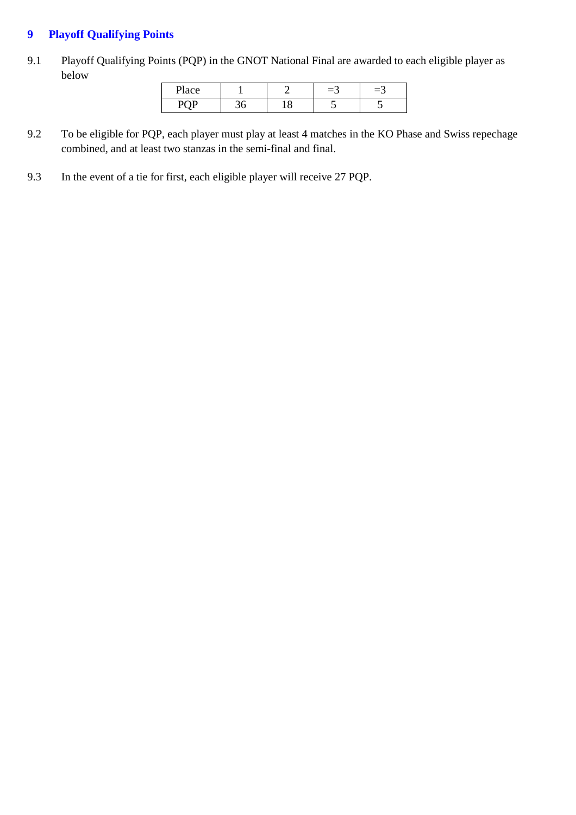### <span id="page-6-0"></span>**9 Playoff Qualifying Points**

9.1 Playoff Qualifying Points (PQP) in the GNOT National Final are awarded to each eligible player as below

| ace<br>aacc |     | - | Е., |
|-------------|-----|---|-----|
| . 1. 2      | - - |   |     |

- 9.2 To be eligible for PQP, each player must play at least 4 matches in the KO Phase and Swiss repechage combined, and at least two stanzas in the semi-final and final.
- 9.3 In the event of a tie for first, each eligible player will receive 27 PQP.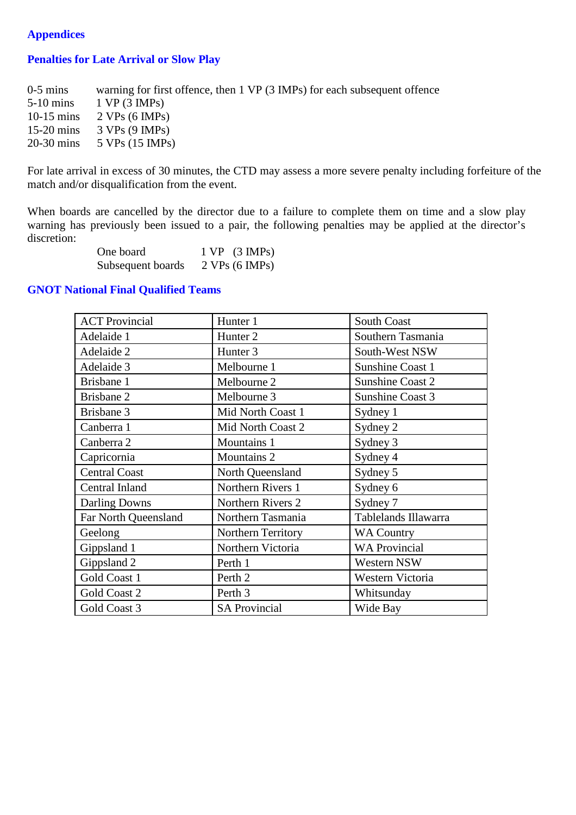### <span id="page-7-0"></span>**Appendices**

### **Penalties for Late Arrival or Slow Play**

| $0-5$ mins   | warning for first offence, then 1 VP (3 IMPs) for each subsequent offence |
|--------------|---------------------------------------------------------------------------|
| $5-10$ mins  | 1 VP (3 IMPs)                                                             |
|              | 10-15 mins $2 VPs (6 IMPs)$                                               |
| $15-20$ mins | 3 VPs (9 IMPs)                                                            |
| $20-30$ mins | 5 VPs (15 IMPs)                                                           |
|              |                                                                           |

For late arrival in excess of 30 minutes, the CTD may assess a more severe penalty including forfeiture of the match and/or disqualification from the event.

When boards are cancelled by the director due to a failure to complete them on time and a slow play warning has previously been issued to a pair, the following penalties may be applied at the director's discretion:

| One board         | $1 VP$ $(3 IMPs)$ |
|-------------------|-------------------|
| Subsequent boards | 2 VPs (6 IMPs)    |

#### **GNOT National Final Qualified Teams**

| <b>ACT Provincial</b> | Hunter 1             | <b>South Coast</b>      |
|-----------------------|----------------------|-------------------------|
| Adelaide 1            | Hunter <sub>2</sub>  | Southern Tasmania       |
| Adelaide 2            | Hunter <sub>3</sub>  | South-West NSW          |
| Adelaide 3            | Melbourne 1          | <b>Sunshine Coast 1</b> |
| Brisbane 1            | Melbourne 2          | <b>Sunshine Coast 2</b> |
| Brisbane 2            | Melbourne 3          | Sunshine Coast 3        |
| Brisbane 3            | Mid North Coast 1    | Sydney 1                |
| Canberra 1            | Mid North Coast 2    | Sydney 2                |
| Canberra 2            | Mountains 1          | Sydney 3                |
| Capricornia           | Mountains 2          | Sydney 4                |
| <b>Central Coast</b>  | North Queensland     | Sydney 5                |
| Central Inland        | Northern Rivers 1    | Sydney 6                |
| <b>Darling Downs</b>  | Northern Rivers 2    | Sydney 7                |
| Far North Queensland  | Northern Tasmania    | Tablelands Illawarra    |
| Geelong               | Northern Territory   | <b>WA Country</b>       |
| Gippsland 1           | Northern Victoria    | <b>WA Provincial</b>    |
| Gippsland 2           | Perth 1              | Western NSW             |
| Gold Coast 1          | Perth <sub>2</sub>   | Western Victoria        |
| Gold Coast 2          | Perth 3              | Whitsunday              |
| Gold Coast 3          | <b>SA Provincial</b> | Wide Bay                |